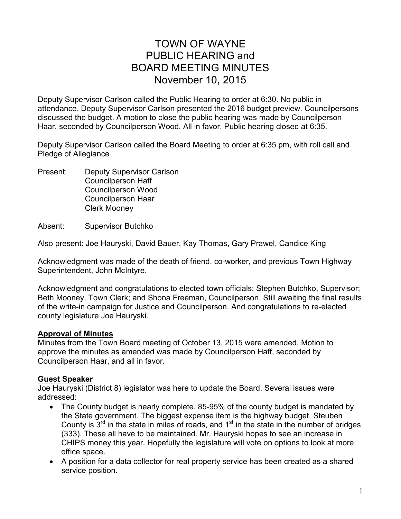## TOWN OF WAYNE PUBLIC HEARING and BOARD MEETING MINUTES November 10, 2015

Deputy Supervisor Carlson called the Public Hearing to order at 6:30. No public in attendance. Deputy Supervisor Carlson presented the 2016 budget preview. Councilpersons discussed the budget. A motion to close the public hearing was made by Councilperson Haar, seconded by Councilperson Wood. All in favor. Public hearing closed at 6:35.

Deputy Supervisor Carlson called the Board Meeting to order at 6:35 pm, with roll call and Pledge of Allegiance

Present: Deputy Supervisor Carlson Councilperson Haff Councilperson Wood Councilperson Haar Clerk Mooney

Absent: Supervisor Butchko

Also present: Joe Hauryski, David Bauer, Kay Thomas, Gary Prawel, Candice King

Acknowledgment was made of the death of friend, co-worker, and previous Town Highway Superintendent, John McIntyre.

Acknowledgment and congratulations to elected town officials; Stephen Butchko, Supervisor; Beth Mooney, Town Clerk; and Shona Freeman, Councilperson. Still awaiting the final results of the write-in campaign for Justice and Councilperson. And congratulations to re-elected county legislature Joe Hauryski.

#### **Approval of Minutes**

Minutes from the Town Board meeting of October 13, 2015 were amended. Motion to approve the minutes as amended was made by Councilperson Haff, seconded by Councilperson Haar, and all in favor.

#### **Guest Speaker**

Joe Hauryski (District 8) legislator was here to update the Board. Several issues were addressed:

- The County budget is nearly complete. 85-95% of the county budget is mandated by the State government. The biggest expense item is the highway budget. Steuben County is  $3<sup>rd</sup>$  in the state in miles of roads, and  $1<sup>st</sup>$  in the state in the number of bridges (333). These all have to be maintained. Mr. Hauryski hopes to see an increase in CHIPS money this year. Hopefully the legislature will vote on options to look at more office space.
- A position for a data collector for real property service has been created as a shared service position.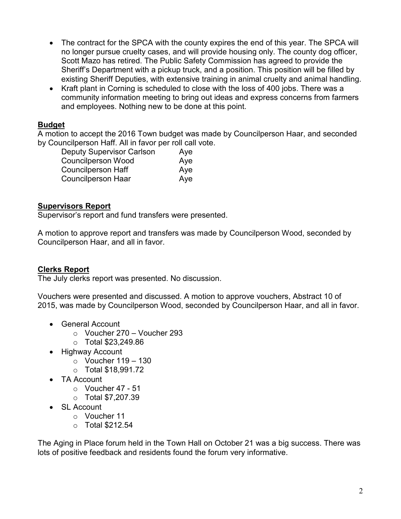- The contract for the SPCA with the county expires the end of this year. The SPCA will no longer pursue cruelty cases, and will provide housing only. The county dog officer, Scott Mazo has retired. The Public Safety Commission has agreed to provide the Sheriff's Department with a pickup truck, and a position. This position will be filled by existing Sheriff Deputies, with extensive training in animal cruelty and animal handling.
- Kraft plant in Corning is scheduled to close with the loss of 400 jobs. There was a community information meeting to bring out ideas and express concerns from farmers and employees. Nothing new to be done at this point.

### **Budget**

A motion to accept the 2016 Town budget was made by Councilperson Haar, and seconded by Councilperson Haff. All in favor per roll call vote.

| <b>Deputy Supervisor Carlson</b> | Aye |
|----------------------------------|-----|
| <b>Councilperson Wood</b>        | Aye |
| <b>Councilperson Haff</b>        | Aye |
| <b>Councilperson Haar</b>        | Aye |

## **Supervisors Report**

Supervisor's report and fund transfers were presented.

A motion to approve report and transfers was made by Councilperson Wood, seconded by Councilperson Haar, and all in favor.

## **Clerks Report**

The July clerks report was presented. No discussion.

Vouchers were presented and discussed. A motion to approve vouchers, Abstract 10 of 2015, was made by Councilperson Wood, seconded by Councilperson Haar, and all in favor.

- General Account
	- o Voucher 270 Voucher 293
	- o Total \$23,249.86
- Highway Account
	- $\circ$  Voucher 119 130
	- o Total \$18,991.72
- TA Account
	- $\circ$  Voucher 47 51
	- o Total \$7,207.39
- SL Account
	- o Voucher 11
	- $\circ$  Total \$212.54

The Aging in Place forum held in the Town Hall on October 21 was a big success. There was lots of positive feedback and residents found the forum very informative.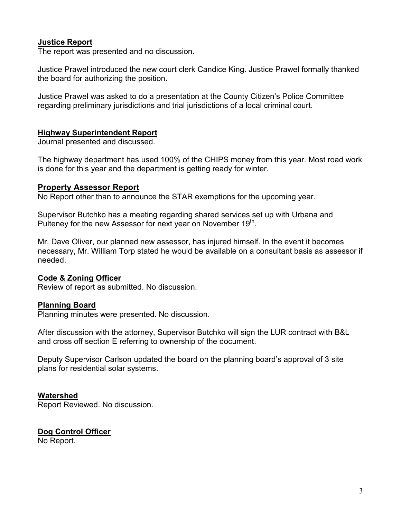## **Justice Report**

The report was presented and no discussion.

Justice Prawel introduced the new court clerk Candice King. Justice Prawel formally thanked the board for authorizing the position.

Justice Prawel was asked to do a presentation at the County Citizen's Police Committee regarding preliminary jurisdictions and trial jurisdictions of a local criminal court.

### **Highway Superintendent Report**

Journal presented and discussed.

The highway department has used 100% of the CHIPS money from this year. Most road work is done for this year and the department is getting ready for winter.

#### **Property Assessor Report**

No Report other than to announce the STAR exemptions for the upcoming year.

Supervisor Butchko has a meeting regarding shared services set up with Urbana and Pulteney for the new Assessor for next year on November  $19<sup>th</sup>$ .

Mr. Dave Oliver, our planned new assessor, has injured himself. In the event it becomes necessary, Mr. William Torp stated he would be available on a consultant basis as assessor if needed.

## **Code & Zoning Officer**

Review of report as submitted. No discussion.

## **Planning Board**

Planning minutes were presented. No discussion.

After discussion with the attorney, Supervisor Butchko will sign the LUR contract with B&L and cross off section E referring to ownership of the document.

Deputy Supervisor Carlson updated the board on the planning board's approval of 3 site plans for residential solar systems.

#### **Watershed**

Report Reviewed. No discussion.

# **Dog Control Officer**

No Report.